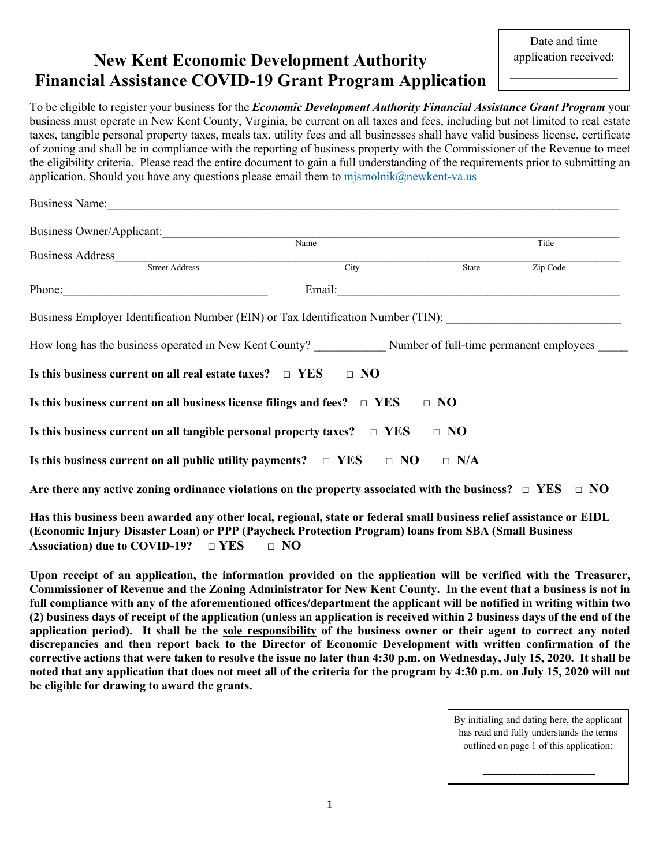# New Kent Economic Development Authority Financial Assistance COVID-19 Grant Program Application

\_\_\_\_\_\_\_\_\_\_\_\_\_\_\_\_\_\_

To be eligible to register your business for the *Economic Development Authority Financial Assistance Grant Program* your business must operate in New Kent County, Virginia, be current on all taxes and fees, including but not limited to real estate taxes, tangible personal property taxes, meals tax, utility fees and all businesses shall have valid business license, certificate of zoning and shall be in compliance with the reporting of business property with the Commissioner of the Revenue to meet the eligibility criteria. Please read the entire document to gain a full understanding of the requirements prior to submitting an application. Should you have any questions please email them to mismolnik@newkent-va.us

| Business Owner/Applicant:                                                                                                                                                                                                                            |                        |            |          |  |
|------------------------------------------------------------------------------------------------------------------------------------------------------------------------------------------------------------------------------------------------------|------------------------|------------|----------|--|
|                                                                                                                                                                                                                                                      | Name                   |            | Title    |  |
| Business Address                                                                                                                                                                                                                                     | Street Address<br>City | State      | Zip Code |  |
|                                                                                                                                                                                                                                                      |                        |            |          |  |
| Phone:                                                                                                                                                                                                                                               | Email:                 |            |          |  |
| Business Employer Identification Number (EIN) or Tax Identification Number (TIN):<br>How long has the business operated in New Kent County? Number of full-time permanent employees<br>Is this business current on all real estate taxes? $\Box$ YES | $\Box$ NO              |            |          |  |
| Is this business current on all business license filings and fees? $\Box$ YES                                                                                                                                                                        |                        | $\Box$ NO  |          |  |
| Is this business current on all tangible personal property taxes? $\Box$ YES                                                                                                                                                                         |                        | $\Box$ NO  |          |  |
| Is this business current on all public utility payments? $\Box$ YES $\Box$ NO                                                                                                                                                                        |                        | $\Box$ N/A |          |  |
| Are there any active zoning ordinance violations on the property associated with the business? $\Box$ YES $\Box$ NO                                                                                                                                  |                        |            |          |  |
|                                                                                                                                                                                                                                                      |                        |            |          |  |

Has this business been awarded any other local, regional, state or federal small business relief assistance or EIDL (Economic Injury Disaster Loan) or PPP (Paycheck Protection Program) loans from SBA (Small Business Association) due to COVID-19?  $\Box$  YES  $\Box$  NO

 Upon receipt of an application, the information provided on the application will be verified with the Treasurer, Commissioner of Revenue and the Zoning Administrator for New Kent County. In the event that a business is not in full compliance with any of the aforementioned offices/department the applicant will be notified in writing within two (2) business days of receipt of the application (unless an application is received within 2 business days of the end of the application period). It shall be the sole responsibility of the business owner or their agent to correct any noted discrepancies and then report back to the Director of Economic Development with written confirmation of the corrective actions that were taken to resolve the issue no later than 4:30 p.m. on Wednesday, July 15, 2020. It shall be noted that any application that does not meet all of the criteria for the program by 4:30 p.m. on July 15, 2020 will not be eligible for drawing to award the grants.

> By initialing and dating here, the applicant has read and fully understands the terms outlined on page 1 of this application: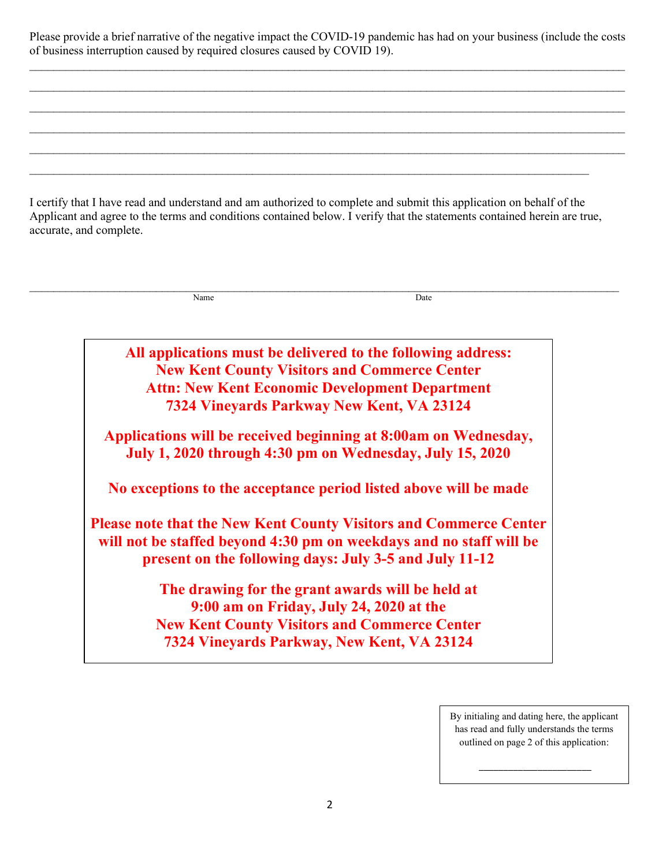Please provide a brief narrative of the negative impact the COVID-19 pandemic has had on your business (include the costs of business interruption caused by required closures caused by COVID 19).

I certify that I have read and understand and am authorized to complete and submit this application on behalf of the Applicant and agree to the terms and conditions contained below. I verify that the statements contained herein are true, accurate, and complete.<br>
<br>  $\blacksquare$ 

Name Date

 $\mathcal{L}_\mathcal{L} = \mathcal{L}_\mathcal{L} = \mathcal{L}_\mathcal{L} = \mathcal{L}_\mathcal{L} = \mathcal{L}_\mathcal{L} = \mathcal{L}_\mathcal{L} = \mathcal{L}_\mathcal{L} = \mathcal{L}_\mathcal{L} = \mathcal{L}_\mathcal{L} = \mathcal{L}_\mathcal{L} = \mathcal{L}_\mathcal{L} = \mathcal{L}_\mathcal{L} = \mathcal{L}_\mathcal{L} = \mathcal{L}_\mathcal{L} = \mathcal{L}_\mathcal{L} = \mathcal{L}_\mathcal{L} = \mathcal{L}_\mathcal{L}$  $\mathcal{L}_\mathcal{L} = \mathcal{L}_\mathcal{L} = \mathcal{L}_\mathcal{L} = \mathcal{L}_\mathcal{L} = \mathcal{L}_\mathcal{L} = \mathcal{L}_\mathcal{L} = \mathcal{L}_\mathcal{L} = \mathcal{L}_\mathcal{L} = \mathcal{L}_\mathcal{L} = \mathcal{L}_\mathcal{L} = \mathcal{L}_\mathcal{L} = \mathcal{L}_\mathcal{L} = \mathcal{L}_\mathcal{L} = \mathcal{L}_\mathcal{L} = \mathcal{L}_\mathcal{L} = \mathcal{L}_\mathcal{L} = \mathcal{L}_\mathcal{L}$  $\mathcal{L}_\mathcal{L} = \mathcal{L}_\mathcal{L} = \mathcal{L}_\mathcal{L} = \mathcal{L}_\mathcal{L} = \mathcal{L}_\mathcal{L} = \mathcal{L}_\mathcal{L} = \mathcal{L}_\mathcal{L} = \mathcal{L}_\mathcal{L} = \mathcal{L}_\mathcal{L} = \mathcal{L}_\mathcal{L} = \mathcal{L}_\mathcal{L} = \mathcal{L}_\mathcal{L} = \mathcal{L}_\mathcal{L} = \mathcal{L}_\mathcal{L} = \mathcal{L}_\mathcal{L} = \mathcal{L}_\mathcal{L} = \mathcal{L}_\mathcal{L}$  $\_$ 

> All applications must be delivered to the following address: New Kent County Visitors and Commerce Center Attn: New Kent Economic Development Department 7324 Vineyards Parkway New Kent, VA 23124

Applications will be received beginning at 8:00am on Wednesday, July 1, 2020 through 4:30 pm on Wednesday, July 15, 2020

No exceptions to the acceptance period listed above will be made

Please note that the New Kent County Visitors and Commerce Center will not be staffed beyond 4:30 pm on weekdays and no staff will be present on the following days: July 3-5 and July 11-12

> The drawing for the grant awards will be held at 9:00 am on Friday, July 24, 2020 at the New Kent County Visitors and Commerce Center 7324 Vineyards Parkway, New Kent, VA 23124

> > By initialing and dating here, the applicant has read and fully understands the terms outlined on page 2 of this application: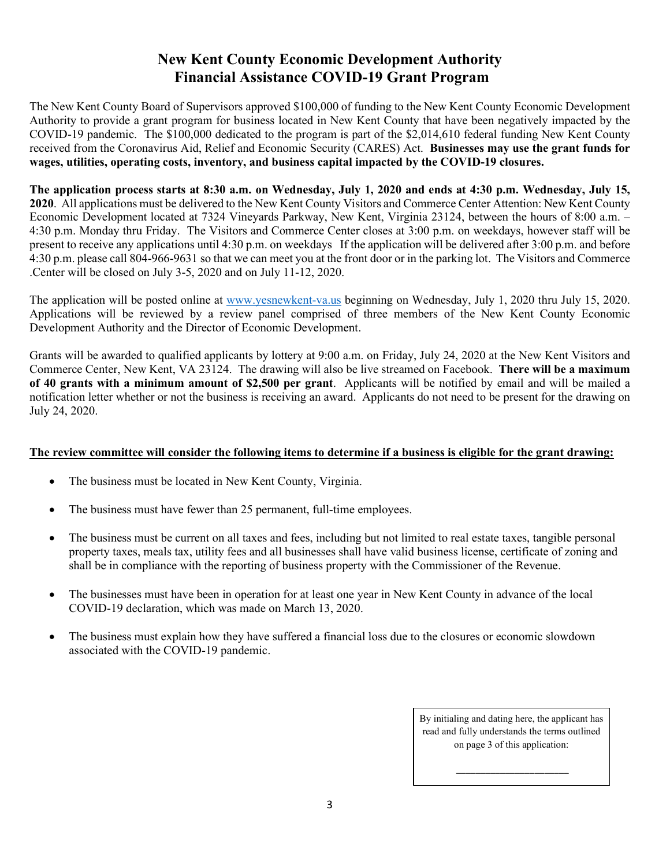## New Kent County Economic Development Authority Financial Assistance COVID-19 Grant Program

The New Kent County Board of Supervisors approved \$100,000 of funding to the New Kent County Economic Development Authority to provide a grant program for business located in New Kent County that have been negatively impacted by the COVID-19 pandemic. The \$100,000 dedicated to the program is part of the \$2,014,610 federal funding New Kent County received from the Coronavirus Aid, Relief and Economic Security (CARES) Act. Businesses may use the grant funds for wages, utilities, operating costs, inventory, and business capital impacted by the COVID-19 closures.

The application process starts at 8:30 a.m. on Wednesday, July 1, 2020 and ends at 4:30 p.m. Wednesday, July 15, 2020. All applications must be delivered to the New Kent County Visitors and Commerce Center Attention: New Kent County Economic Development located at 7324 Vineyards Parkway, New Kent, Virginia 23124, between the hours of 8:00 a.m. – 4:30 p.m. Monday thru Friday. The Visitors and Commerce Center closes at 3:00 p.m. on weekdays, however staff will be present to receive any applications until 4:30 p.m. on weekdays If the application will be delivered after 3:00 p.m. and before 4:30 p.m. please call 804-966-9631 so that we can meet you at the front door or in the parking lot. The Visitors and Commerce .Center will be closed on July 3-5, 2020 and on July 11-12, 2020.

The application will be posted online at www.yesnewkent-va.us beginning on Wednesday, July 1, 2020 thru July 15, 2020. Applications will be reviewed by a review panel comprised of three members of the New Kent County Economic Development Authority and the Director of Economic Development.

Grants will be awarded to qualified applicants by lottery at 9:00 a.m. on Friday, July 24, 2020 at the New Kent Visitors and Commerce Center, New Kent, VA 23124. The drawing will also be live streamed on Facebook. There will be a maximum of 40 grants with a minimum amount of \$2,500 per grant. Applicants will be notified by email and will be mailed a notification letter whether or not the business is receiving an award. Applicants do not need to be present for the drawing on July 24, 2020.

#### The review committee will consider the following items to determine if a business is eligible for the grant drawing:

- The business must be located in New Kent County, Virginia.
- The business must have fewer than 25 permanent, full-time employees.
- The business must be current on all taxes and fees, including but not limited to real estate taxes, tangible personal property taxes, meals tax, utility fees and all businesses shall have valid business license, certificate of zoning and shall be in compliance with the reporting of business property with the Commissioner of the Revenue.
- The businesses must have been in operation for at least one year in New Kent County in advance of the local COVID-19 declaration, which was made on March 13, 2020.
- The business must explain how they have suffered a financial loss due to the closures or economic slowdown associated with the COVID-19 pandemic.

By initialing and dating here, the applicant has read and fully understands the terms outlined on page 3 of this application: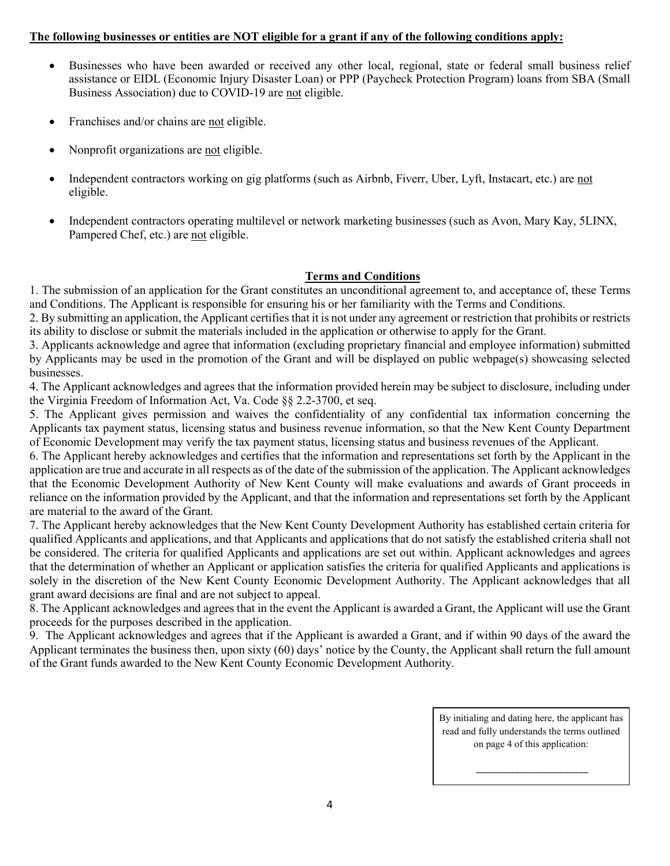#### The following businesses or entities are NOT eligible for a grant if any of the following conditions apply:

- Businesses who have been awarded or received any other local, regional, state or federal small business relief assistance or EIDL (Economic Injury Disaster Loan) or PPP (Paycheck Protection Program) loans from SBA (Small Business Association) due to COVID-19 are not eligible.
- Franchises and/or chains are not eligible.
- Nonprofit organizations are not eligible.
- Independent contractors working on gig platforms (such as Airbnb, Fiverr, Uber, Lyft, Instacart, etc.) are not eligible.
- Independent contractors operating multilevel or network marketing businesses (such as Avon, Mary Kay, 5LINX, Pampered Chef, etc.) are not eligible.

#### Terms and Conditions

1. The submission of an application for the Grant constitutes an unconditional agreement to, and acceptance of, these Terms and Conditions. The Applicant is responsible for ensuring his or her familiarity with the Terms and Conditions.

2. By submitting an application, the Applicant certifies that it is not under any agreement or restriction that prohibits or restricts its ability to disclose or submit the materials included in the application or otherwise to apply for the Grant.

3. Applicants acknowledge and agree that information (excluding proprietary financial and employee information) submitted by Applicants may be used in the promotion of the Grant and will be displayed on public webpage(s) showcasing selected businesses.

4. The Applicant acknowledges and agrees that the information provided herein may be subject to disclosure, including under the Virginia Freedom of Information Act, Va. Code §§ 2.2-3700, et seq.

5. The Applicant gives permission and waives the confidentiality of any confidential tax information concerning the Applicants tax payment status, licensing status and business revenue information, so that the New Kent County Department of Economic Development may verify the tax payment status, licensing status and business revenues of the Applicant.

6. The Applicant hereby acknowledges and certifies that the information and representations set forth by the Applicant in the application are true and accurate in all respects as of the date of the submission of the application. The Applicant acknowledges that the Economic Development Authority of New Kent County will make evaluations and awards of Grant proceeds in reliance on the information provided by the Applicant, and that the information and representations set forth by the Applicant are material to the award of the Grant.

7. The Applicant hereby acknowledges that the New Kent County Development Authority has established certain criteria for qualified Applicants and applications, and that Applicants and applications that do not satisfy the established criteria shall not be considered. The criteria for qualified Applicants and applications are set out within. Applicant acknowledges and agrees that the determination of whether an Applicant or application satisfies the criteria for qualified Applicants and applications is solely in the discretion of the New Kent County Economic Development Authority. The Applicant acknowledges that all grant award decisions are final and are not subject to appeal.

8. The Applicant acknowledges and agrees that in the event the Applicant is awarded a Grant, the Applicant will use the Grant proceeds for the purposes described in the application.

9. The Applicant acknowledges and agrees that if the Applicant is awarded a Grant, and if within 90 days of the award the Applicant terminates the business then, upon sixty (60) days' notice by the County, the Applicant shall return the full amount of the Grant funds awarded to the New Kent County Economic Development Authority.

> By initialing and dating here, the applicant has read and fully understands the terms outlined on page 4 of this application:

> > $\overline{\phantom{a}}$  , where the contract of the contract of the contract of the contract of the contract of the contract of the contract of the contract of the contract of the contract of the contract of the contract of the contr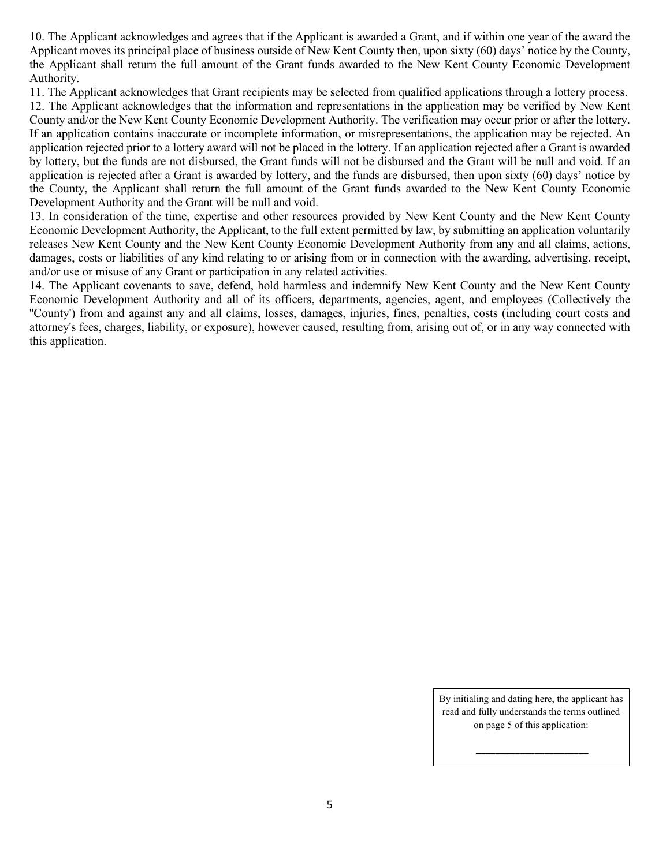10. The Applicant acknowledges and agrees that if the Applicant is awarded a Grant, and if within one year of the award the Applicant moves its principal place of business outside of New Kent County then, upon sixty (60) days' notice by the County, the Applicant shall return the full amount of the Grant funds awarded to the New Kent County Economic Development Authority.

11. The Applicant acknowledges that Grant recipients may be selected from qualified applications through a lottery process.

12. The Applicant acknowledges that the information and representations in the application may be verified by New Kent County and/or the New Kent County Economic Development Authority. The verification may occur prior or after the lottery. If an application contains inaccurate or incomplete information, or misrepresentations, the application may be rejected. An application rejected prior to a lottery award will not be placed in the lottery. If an application rejected after a Grant is awarded by lottery, but the funds are not disbursed, the Grant funds will not be disbursed and the Grant will be null and void. If an application is rejected after a Grant is awarded by lottery, and the funds are disbursed, then upon sixty (60) days' notice by the County, the Applicant shall return the full amount of the Grant funds awarded to the New Kent County Economic Development Authority and the Grant will be null and void.

13. In consideration of the time, expertise and other resources provided by New Kent County and the New Kent County Economic Development Authority, the Applicant, to the full extent permitted by law, by submitting an application voluntarily releases New Kent County and the New Kent County Economic Development Authority from any and all claims, actions, damages, costs or liabilities of any kind relating to or arising from or in connection with the awarding, advertising, receipt, and/or use or misuse of any Grant or participation in any related activities.

14. The Applicant covenants to save, defend, hold harmless and indemnify New Kent County and the New Kent County Economic Development Authority and all of its officers, departments, agencies, agent, and employees (Collectively the ''County') from and against any and all claims, losses, damages, injuries, fines, penalties, costs (including court costs and attorney's fees, charges, liability, or exposure), however caused, resulting from, arising out of, or in any way connected with this application.

> By initialing and dating here, the applicant has read and fully understands the terms outlined on page 5 of this application: